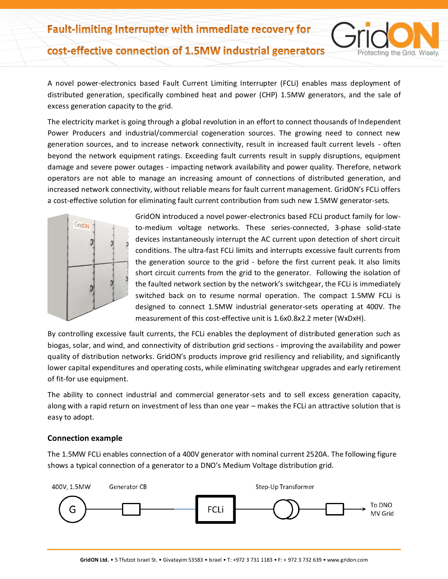## cost-effective connection of 1.5MW industrial generators

A novel power-electronics based Fault Current Limiting Interrupter (FCLi) enables mass deployment of distributed generation, specifically combined heat and power (CHP) 1.5MW generators, and the sale of excess generation capacity to the grid.

The electricity market is going through a global revolution in an effort to connect thousands of Independent Power Producers and industrial/commercial cogeneration sources. The growing need to connect new generation sources, and to increase network connectivity, result in increased fault current levels - often beyond the network equipment ratings. Exceeding fault currents result in supply disruptions, equipment damage and severe power outages - impacting network availability and power quality. Therefore, network operators are not able to manage an increasing amount of connections of distributed generation, and increased network connectivity, without reliable means for fault current management. GridON's FCLi offers a cost-effective solution for eliminating fault current contribution from such new 1.5MW generator-sets.



GridON introduced a novel power-electronics based FCLi product family for lowto-medium voltage networks. These series-connected, 3-phase solid-state devices instantaneously interrupt the AC current upon detection of short circuit conditions. The ultra-fast FCLi limits and interrupts excessive fault currents from the generation source to the grid - before the first current peak. It also limits short circuit currents from the grid to the generator. Following the isolation of the faulted network section by the network's switchgear, the FCLi is immediately switched back on to resume normal operation. The compact 1.5MW FCLi is designed to connect 1.5MW industrial generator-sets operating at 400V. The measurement of this cost-effective unit is 1.6x0.8x2.2 meter (WxDxH).

otecting the Grid. Wisely.

By controlling excessive fault currents, the FCLi enables the deployment of distributed generation such as biogas, solar, and wind, and connectivity of distribution grid sections - improving the availability and power quality of distribution networks. GridON's products improve grid resiliency and reliability, and significantly lower capital expenditures and operating costs, while eliminating switchgear upgrades and early retirement of fit-for use equipment.

The ability to connect industrial and commercial generator-sets and to sell excess generation capacity, along with a rapid return on investment of less than one year – makes the FCLi an attractive solution that is easy to adopt.

## **Connection example**

The 1.5MW FCLi enables connection of a 400V generator with nominal current 2520A. The following figure shows a typical connection of a generator to a DNO's Medium Voltage distribution grid.